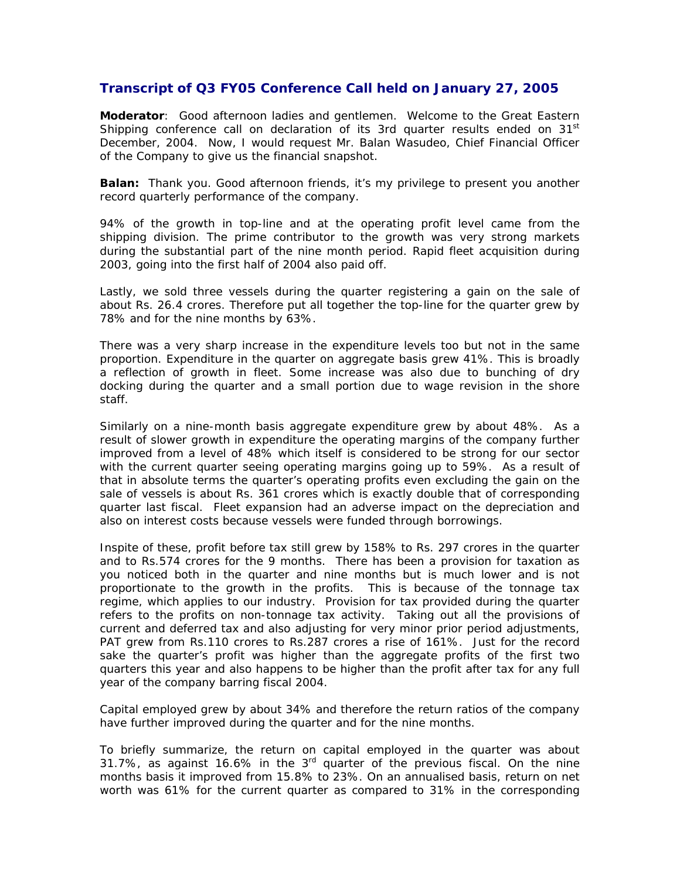## **Transcript of Q3 FY05 Conference Call held on January 27, 2005**

**Moderator**: Good afternoon ladies and gentlemen. Welcome to the Great Eastern Shipping conference call on declaration of its 3rd quarter results ended on  $31<sup>st</sup>$ December, 2004. Now, I would request Mr. Balan Wasudeo, Chief Financial Officer of the Company to give us the financial snapshot.

**Balan:** Thank you. Good afternoon friends, it's my privilege to present you another record quarterly performance of the company.

94% of the growth in top-line and at the operating profit level came from the shipping division. The prime contributor to the growth was very strong markets during the substantial part of the nine month period. Rapid fleet acquisition during 2003, going into the first half of 2004 also paid off.

Lastly, we sold three vessels during the quarter registering a gain on the sale of about Rs. 26.4 crores. Therefore put all together the top-line for the quarter grew by 78% and for the nine months by 63%.

There was a very sharp increase in the expenditure levels too but not in the same proportion. Expenditure in the quarter on aggregate basis grew 41%. This is broadly a reflection of growth in fleet. Some increase was also due to bunching of dry docking during the quarter and a small portion due to wage revision in the shore staff.

Similarly on a nine-month basis aggregate expenditure grew by about 48%. As a result of slower growth in expenditure the operating margins of the company further improved from a level of 48% which itself is considered to be strong for our sector with the current quarter seeing operating margins going up to 59%. As a result of that in absolute terms the quarter's operating profits even excluding the gain on the sale of vessels is about Rs. 361 crores which is exactly double that of corresponding quarter last fiscal. Fleet expansion had an adverse impact on the depreciation and also on interest costs because vessels were funded through borrowings.

Inspite of these, profit before tax still grew by 158% to Rs. 297 crores in the quarter and to Rs.574 crores for the 9 months. There has been a provision for taxation as you noticed both in the quarter and nine months but is much lower and is not proportionate to the growth in the profits. This is because of the tonnage tax regime, which applies to our industry. Provision for tax provided during the quarter refers to the profits on non-tonnage tax activity. Taking out all the provisions of current and deferred tax and also adjusting for very minor prior period adjustments, PAT grew from Rs.110 crores to Rs.287 crores a rise of 161%. Just for the record sake the quarter's profit was higher than the aggregate profits of the first two quarters this year and also happens to be higher than the profit after tax for any full year of the company barring fiscal 2004.

Capital employed grew by about 34% and therefore the return ratios of the company have further improved during the quarter and for the nine months.

To briefly summarize, the return on capital employed in the quarter was about 31.7%, as against 16.6% in the  $3<sup>rd</sup>$  quarter of the previous fiscal. On the nine months basis it improved from 15.8% to 23%. On an annualised basis, return on net worth was 61% for the current quarter as compared to 31% in the corresponding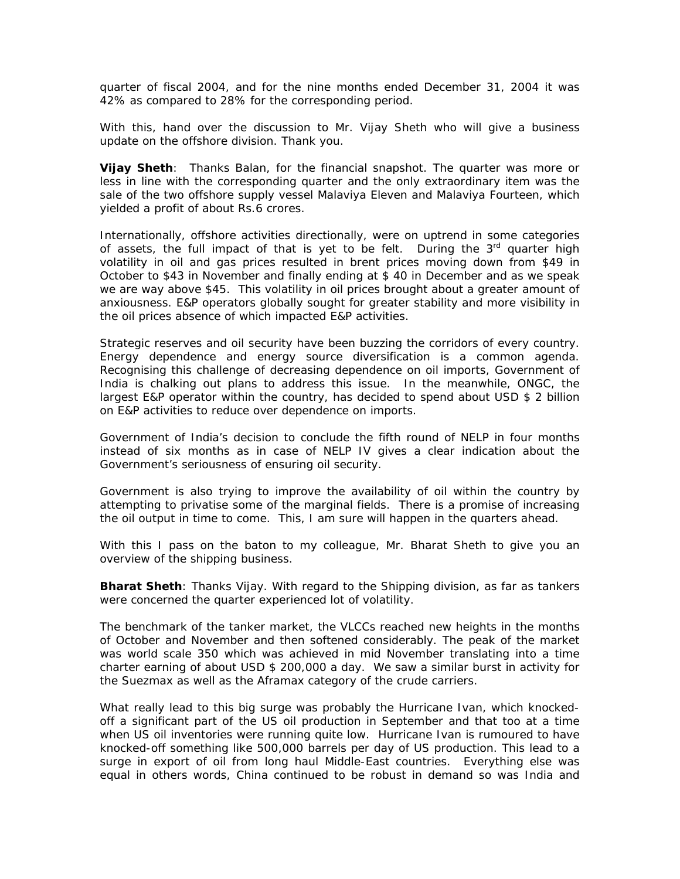quarter of fiscal 2004, and for the nine months ended December 31, 2004 it was 42% as compared to 28% for the corresponding period.

With this, hand over the discussion to Mr. Vijay Sheth who will give a business update on the offshore division. Thank you.

**Vijay Sheth**: Thanks Balan, for the financial snapshot. The quarter was more or less in line with the corresponding quarter and the only extraordinary item was the sale of the two offshore supply vessel Malaviya Eleven and Malaviya Fourteen, which yielded a profit of about Rs.6 crores.

Internationally, offshore activities directionally, were on uptrend in some categories of assets, the full impact of that is yet to be felt. During the  $3<sup>rd</sup>$  quarter high volatility in oil and gas prices resulted in brent prices moving down from \$49 in October to \$43 in November and finally ending at \$ 40 in December and as we speak we are way above \$45. This volatility in oil prices brought about a greater amount of anxiousness. E&P operators globally sought for greater stability and more visibility in the oil prices absence of which impacted E&P activities.

Strategic reserves and oil security have been buzzing the corridors of every country. Energy dependence and energy source diversification is a common agenda. Recognising this challenge of decreasing dependence on oil imports, Government of India is chalking out plans to address this issue. In the meanwhile, ONGC, the largest E&P operator within the country, has decided to spend about USD \$ 2 billion on E&P activities to reduce over dependence on imports.

Government of India's decision to conclude the fifth round of NELP in four months instead of six months as in case of NELP IV gives a clear indication about the Government's seriousness of ensuring oil security.

Government is also trying to improve the availability of oil within the country by attempting to privatise some of the marginal fields. There is a promise of increasing the oil output in time to come. This, I am sure will happen in the quarters ahead.

With this I pass on the baton to my colleague, Mr. Bharat Sheth to give you an overview of the shipping business.

**Bharat Sheth**: Thanks Vijay. With regard to the Shipping division, as far as tankers were concerned the quarter experienced lot of volatility.

The benchmark of the tanker market, the VLCCs reached new heights in the months of October and November and then softened considerably. The peak of the market was world scale 350 which was achieved in mid November translating into a time charter earning of about USD \$ 200,000 a day. We saw a similar burst in activity for the Suezmax as well as the Aframax category of the crude carriers.

What really lead to this big surge was probably the Hurricane Ivan, which knockedoff a significant part of the US oil production in September and that too at a time when US oil inventories were running quite low. Hurricane Ivan is rumoured to have knocked-off something like 500,000 barrels per day of US production. This lead to a surge in export of oil from long haul Middle-East countries. Everything else was equal in others words, China continued to be robust in demand so was India and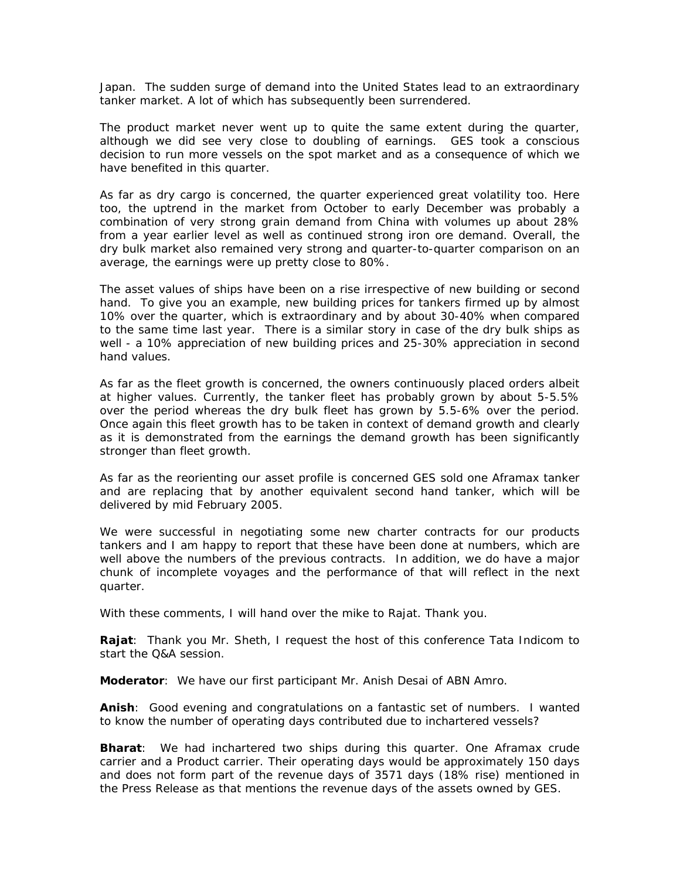Japan. The sudden surge of demand into the United States lead to an extraordinary tanker market. A lot of which has subsequently been surrendered.

The product market never went up to quite the same extent during the quarter, although we did see very close to doubling of earnings. GES took a conscious decision to run more vessels on the spot market and as a consequence of which we have benefited in this quarter.

As far as dry cargo is concerned, the quarter experienced great volatility too. Here too, the uptrend in the market from October to early December was probably a combination of very strong grain demand from China with volumes up about 28% from a year earlier level as well as continued strong iron ore demand. Overall, the dry bulk market also remained very strong and quarter-to-quarter comparison on an average, the earnings were up pretty close to 80%.

The asset values of ships have been on a rise irrespective of new building or second hand. To give you an example, new building prices for tankers firmed up by almost 10% over the quarter, which is extraordinary and by about 30-40% when compared to the same time last year. There is a similar story in case of the dry bulk ships as well - a 10% appreciation of new building prices and 25-30% appreciation in second hand values.

As far as the fleet growth is concerned, the owners continuously placed orders albeit at higher values. Currently, the tanker fleet has probably grown by about 5-5.5% over the period whereas the dry bulk fleet has grown by 5.5-6% over the period. Once again this fleet growth has to be taken in context of demand growth and clearly as it is demonstrated from the earnings the demand growth has been significantly stronger than fleet growth.

As far as the reorienting our asset profile is concerned GES sold one Aframax tanker and are replacing that by another equivalent second hand tanker, which will be delivered by mid February 2005.

We were successful in negotiating some new charter contracts for our products tankers and I am happy to report that these have been done at numbers, which are well above the numbers of the previous contracts. In addition, we do have a major chunk of incomplete voyages and the performance of that will reflect in the next quarter.

With these comments, I will hand over the mike to Rajat. Thank you.

**Rajat**: Thank you Mr. Sheth, I request the host of this conference Tata Indicom to start the Q&A session.

**Moderator**: We have our first participant Mr. Anish Desai of ABN Amro.

**Anish**: Good evening and congratulations on a fantastic set of numbers. I wanted to know the number of operating days contributed due to inchartered vessels?

**Bharat**: We had inchartered two ships during this quarter. One Aframax crude carrier and a Product carrier. Their operating days would be approximately 150 days and does not form part of the revenue days of 3571 days (18% rise) mentioned in the Press Release as that mentions the revenue days of the assets owned by GES.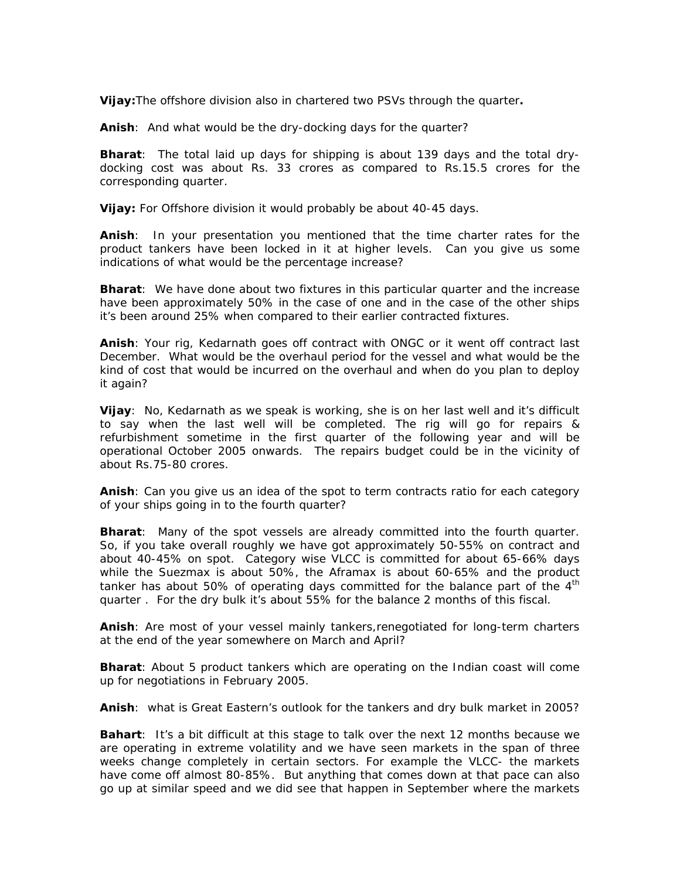**Vijay:**The offshore division also in chartered two PSVs through the quarter**.** 

**Anish**: And what would be the dry-docking days for the quarter?

**Bharat**: The total laid up days for shipping is about 139 days and the total drydocking cost was about Rs. 33 crores as compared to Rs.15.5 crores for the corresponding quarter.

**Vijay:** For Offshore division it would probably be about 40-45 days.

**Anish**: In your presentation you mentioned that the time charter rates for the product tankers have been locked in it at higher levels. Can you give us some indications of what would be the percentage increase?

**Bharat**: We have done about two fixtures in this particular quarter and the increase have been approximately 50% in the case of one and in the case of the other ships it's been around 25% when compared to their earlier contracted fixtures.

**Anish**: Your rig, Kedarnath goes off contract with ONGC or it went off contract last December. What would be the overhaul period for the vessel and what would be the kind of cost that would be incurred on the overhaul and when do you plan to deploy it again?

**Vijay**: No, Kedarnath as we speak is working, she is on her last well and it's difficult to say when the last well will be completed. The rig will go for repairs & refurbishment sometime in the first quarter of the following year and will be operational October 2005 onwards. The repairs budget could be in the vicinity of about Rs.75-80 crores.

**Anish**: Can you give us an idea of the spot to term contracts ratio for each category of your ships going in to the fourth quarter?

**Bharat**: Many of the spot vessels are already committed into the fourth quarter. So, if you take overall roughly we have got approximately 50-55% on contract and about 40-45% on spot. Category wise VLCC is committed for about 65-66% days while the Suezmax is about 50%, the Aframax is about 60-65% and the product tanker has about 50% of operating days committed for the balance part of the  $4<sup>th</sup>$ quarter . For the dry bulk it's about 55% for the balance 2 months of this fiscal.

**Anish**: Are most of your vessel mainly tankers,renegotiated for long-term charters at the end of the year somewhere on March and April?

**Bharat**: About 5 product tankers which are operating on the Indian coast will come up for negotiations in February 2005.

**Anish**: what is Great Eastern's outlook for the tankers and dry bulk market in 2005?

**Bahart**: It's a bit difficult at this stage to talk over the next 12 months because we are operating in extreme volatility and we have seen markets in the span of three weeks change completely in certain sectors. For example the VLCC- the markets have come off almost 80-85%. But anything that comes down at that pace can also go up at similar speed and we did see that happen in September where the markets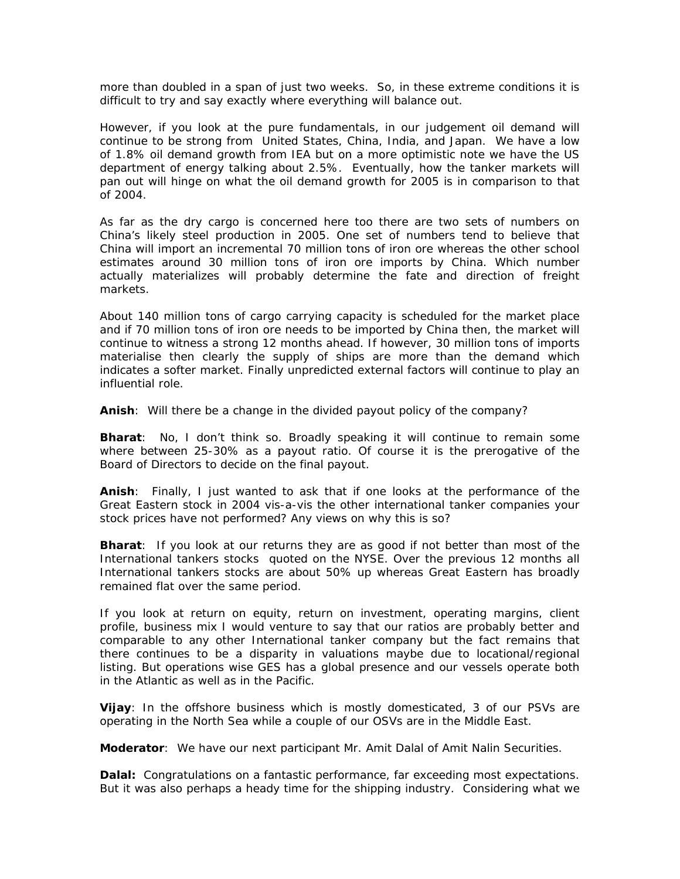more than doubled in a span of just two weeks. So, in these extreme conditions it is difficult to try and say exactly where everything will balance out.

However, if you look at the pure fundamentals, in our judgement oil demand will continue to be strong from United States, China, India, and Japan. We have a low of 1.8% oil demand growth from IEA but on a more optimistic note we have the US department of energy talking about 2.5%. Eventually, how the tanker markets will pan out will hinge on what the oil demand growth for 2005 is in comparison to that of 2004.

As far as the dry cargo is concerned here too there are two sets of numbers on China's likely steel production in 2005. One set of numbers tend to believe that China will import an incremental 70 million tons of iron ore whereas the other school estimates around 30 million tons of iron ore imports by China. Which number actually materializes will probably determine the fate and direction of freight markets.

About 140 million tons of cargo carrying capacity is scheduled for the market place and if 70 million tons of iron ore needs to be imported by China then, the market will continue to witness a strong 12 months ahead. If however, 30 million tons of imports materialise then clearly the supply of ships are more than the demand which indicates a softer market. Finally unpredicted external factors will continue to play an influential role.

**Anish**: Will there be a change in the divided payout policy of the company?

**Bharat**: No, I don't think so. Broadly speaking it will continue to remain some where between 25-30% as a payout ratio. Of course it is the prerogative of the Board of Directors to decide on the final payout.

**Anish**: Finally, I just wanted to ask that if one looks at the performance of the Great Eastern stock in 2004 vis-a-vis the other international tanker companies your stock prices have not performed? Any views on why this is so?

**Bharat**: If you look at our returns they are as good if not better than most of the International tankers stocks quoted on the NYSE. Over the previous 12 months all International tankers stocks are about 50% up whereas Great Eastern has broadly remained flat over the same period.

If you look at return on equity, return on investment, operating margins, client profile, business mix I would venture to say that our ratios are probably better and comparable to any other International tanker company but the fact remains that there continues to be a disparity in valuations maybe due to locational/regional listing. But operations wise GES has a global presence and our vessels operate both in the Atlantic as well as in the Pacific.

**Vijay**: In the offshore business which is mostly domesticated, 3 of our PSVs are operating in the North Sea while a couple of our OSVs are in the Middle East.

**Moderator**: We have our next participant Mr. Amit Dalal of Amit Nalin Securities.

**Dalal:** Congratulations on a fantastic performance, far exceeding most expectations. But it was also perhaps a heady time for the shipping industry. Considering what we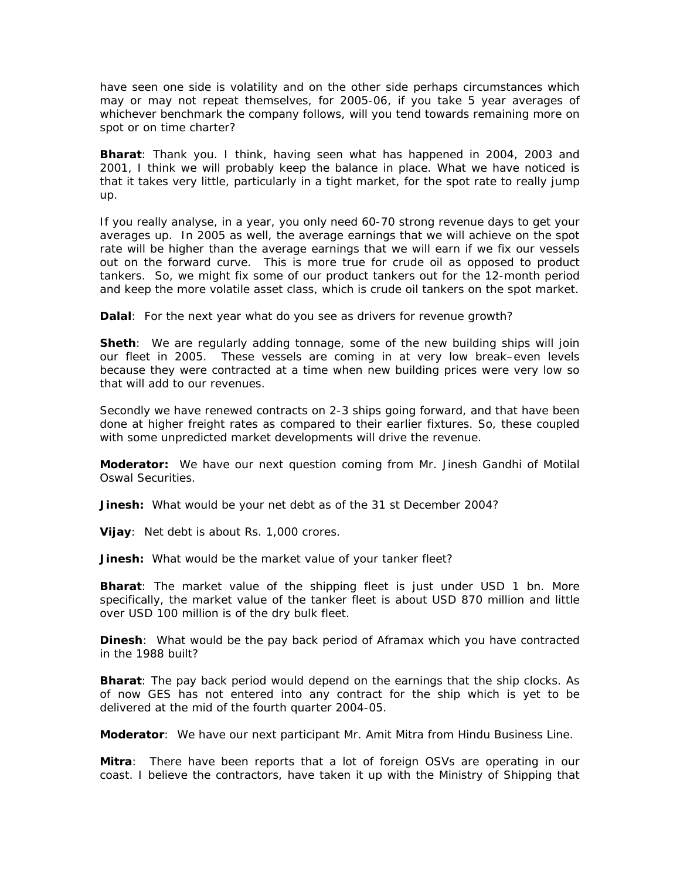have seen one side is volatility and on the other side perhaps circumstances which may or may not repeat themselves, for 2005-06, if you take 5 year averages of whichever benchmark the company follows, will you tend towards remaining more on spot or on time charter?

**Bharat**: Thank you. I think, having seen what has happened in 2004, 2003 and 2001, I think we will probably keep the balance in place. What we have noticed is that it takes very little, particularly in a tight market, for the spot rate to really jump up.

If you really analyse, in a year, you only need 60-70 strong revenue days to get your averages up. In 2005 as well, the average earnings that we will achieve on the spot rate will be higher than the average earnings that we will earn if we fix our vessels out on the forward curve. This is more true for crude oil as opposed to product tankers. So, we might fix some of our product tankers out for the 12-month period and keep the more volatile asset class, which is crude oil tankers on the spot market.

**Dalal**: For the next year what do you see as drivers for revenue growth?

**Sheth**: We are regularly adding tonnage, some of the new building ships will join our fleet in 2005. These vessels are coming in at very low break–even levels because they were contracted at a time when new building prices were very low so that will add to our revenues.

Secondly we have renewed contracts on 2-3 ships going forward, and that have been done at higher freight rates as compared to their earlier fixtures. So, these coupled with some unpredicted market developments will drive the revenue.

**Moderator:** We have our next question coming from Mr. Jinesh Gandhi of Motilal Oswal Securities.

**Jinesh:** What would be your net debt as of the 31 st December 2004?

**Vijay**: Net debt is about Rs. 1,000 crores.

**Jinesh:** What would be the market value of your tanker fleet?

**Bharat**: The market value of the shipping fleet is just under USD 1 bn. More specifically, the market value of the tanker fleet is about USD 870 million and little over USD 100 million is of the dry bulk fleet.

**Dinesh**: What would be the pay back period of Aframax which you have contracted in the 1988 built?

**Bharat**: The pay back period would depend on the earnings that the ship clocks. As of now GES has not entered into any contract for the ship which is yet to be delivered at the mid of the fourth quarter 2004-05.

**Moderator**: We have our next participant Mr. Amit Mitra from Hindu Business Line.

**Mitra**: There have been reports that a lot of foreign OSVs are operating in our coast. I believe the contractors, have taken it up with the Ministry of Shipping that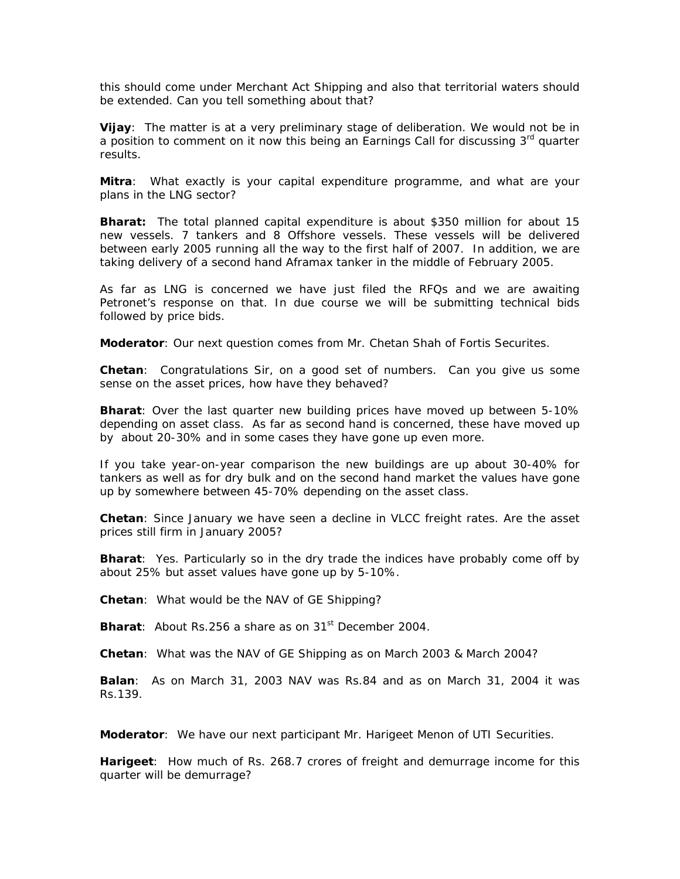this should come under Merchant Act Shipping and also that territorial waters should be extended. Can you tell something about that?

**Vijay**: The matter is at a very preliminary stage of deliberation. We would not be in a position to comment on it now this being an Earnings Call for discussing 3<sup>rd</sup> quarter results.

**Mitra**: What exactly is your capital expenditure programme, and what are your plans in the LNG sector?

**Bharat:** The total planned capital expenditure is about \$350 million for about 15 new vessels. 7 tankers and 8 Offshore vessels. These vessels will be delivered between early 2005 running all the way to the first half of 2007. In addition, we are taking delivery of a second hand Aframax tanker in the middle of February 2005.

As far as LNG is concerned we have just filed the RFQs and we are awaiting Petronet's response on that. In due course we will be submitting technical bids followed by price bids.

**Moderator**: Our next question comes from Mr. Chetan Shah of Fortis Securites.

**Chetan**: Congratulations Sir, on a good set of numbers. Can you give us some sense on the asset prices, how have they behaved?

**Bharat**: Over the last quarter new building prices have moved up between 5-10% depending on asset class. As far as second hand is concerned, these have moved up by about 20-30% and in some cases they have gone up even more.

If you take year-on-year comparison the new buildings are up about 30-40% for tankers as well as for dry bulk and on the second hand market the values have gone up by somewhere between 45-70% depending on the asset class.

**Chetan**: Since January we have seen a decline in VLCC freight rates. Are the asset prices still firm in January 2005?

**Bharat**: Yes. Particularly so in the dry trade the indices have probably come off by about 25% but asset values have gone up by 5-10%.

**Chetan**: What would be the NAV of GE Shipping?

**Bharat**: About Rs.256 a share as on 31<sup>st</sup> December 2004.

**Chetan**: What was the NAV of GE Shipping as on March 2003 & March 2004?

**Balan**: As on March 31, 2003 NAV was Rs.84 and as on March 31, 2004 it was Rs.139.

**Moderator**: We have our next participant Mr. Harigeet Menon of UTI Securities.

**Harigeet**: How much of Rs. 268.7 crores of freight and demurrage income for this quarter will be demurrage?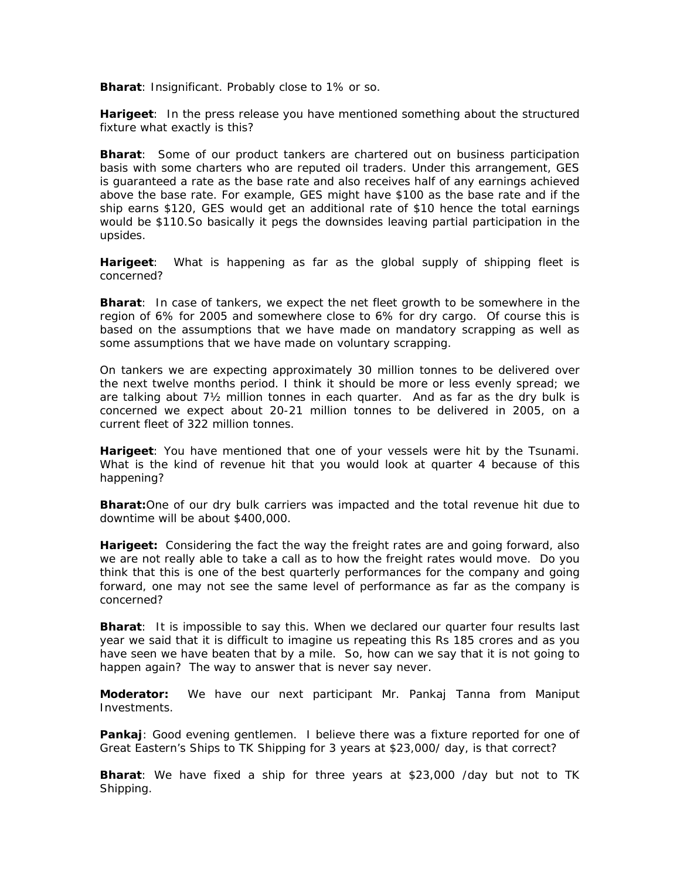**Bharat**: Insignificant. Probably close to 1% or so.

**Harigeet**: In the press release you have mentioned something about the structured fixture what exactly is this?

**Bharat**: Some of our product tankers are chartered out on business participation basis with some charters who are reputed oil traders. Under this arrangement, GES is guaranteed a rate as the base rate and also receives half of any earnings achieved above the base rate. For example, GES might have \$100 as the base rate and if the ship earns \$120, GES would get an additional rate of \$10 hence the total earnings would be \$110.So basically it pegs the downsides leaving partial participation in the upsides.

**Harigeet**: What is happening as far as the global supply of shipping fleet is concerned?

**Bharat**: In case of tankers, we expect the net fleet growth to be somewhere in the region of 6% for 2005 and somewhere close to 6% for dry cargo. Of course this is based on the assumptions that we have made on mandatory scrapping as well as some assumptions that we have made on voluntary scrapping.

On tankers we are expecting approximately 30 million tonnes to be delivered over the next twelve months period. I think it should be more or less evenly spread; we are talking about 7½ million tonnes in each quarter. And as far as the dry bulk is concerned we expect about 20-21 million tonnes to be delivered in 2005, on a current fleet of 322 million tonnes.

**Harigeet**: You have mentioned that one of your vessels were hit by the Tsunami. What is the kind of revenue hit that you would look at quarter 4 because of this happening?

**Bharat:**One of our dry bulk carriers was impacted and the total revenue hit due to downtime will be about \$400,000.

**Harigeet:** Considering the fact the way the freight rates are and going forward, also we are not really able to take a call as to how the freight rates would move. Do you think that this is one of the best quarterly performances for the company and going forward, one may not see the same level of performance as far as the company is concerned?

**Bharat**: It is impossible to say this. When we declared our quarter four results last year we said that it is difficult to imagine us repeating this Rs 185 crores and as you have seen we have beaten that by a mile. So, how can we say that it is not going to happen again? The way to answer that is never say never.

**Moderator:** We have our next participant Mr. Pankaj Tanna from Maniput Investments.

**Pankaj**: Good evening gentlemen. I believe there was a fixture reported for one of Great Eastern's Ships to TK Shipping for 3 years at \$23,000/ day, is that correct?

**Bharat**: We have fixed a ship for three years at \$23,000 /day but not to TK Shipping.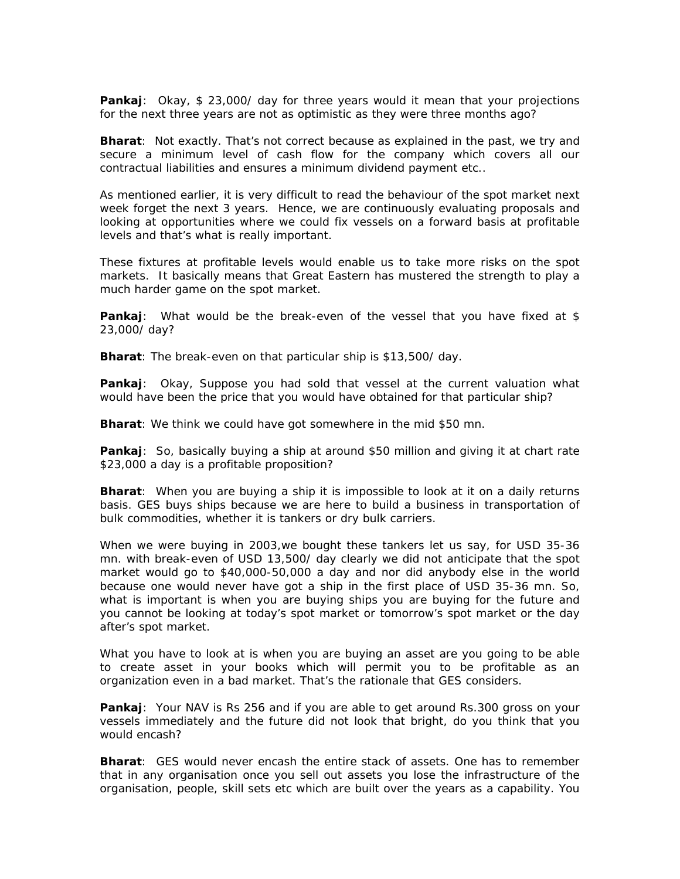**Pankaj**: Okay, \$ 23,000/ day for three years would it mean that your projections for the next three years are not as optimistic as they were three months ago?

**Bharat**: Not exactly. That's not correct because as explained in the past, we try and secure a minimum level of cash flow for the company which covers all our contractual liabilities and ensures a minimum dividend payment etc..

As mentioned earlier, it is very difficult to read the behaviour of the spot market next week forget the next 3 years. Hence, we are continuously evaluating proposals and looking at opportunities where we could fix vessels on a forward basis at profitable levels and that's what is really important.

These fixtures at profitable levels would enable us to take more risks on the spot markets. It basically means that Great Eastern has mustered the strength to play a much harder game on the spot market.

**Pankaj**: What would be the break-even of the vessel that you have fixed at \$ 23,000/ day?

**Bharat**: The break-even on that particular ship is \$13,500/ day.

**Pankaj**: Okay, Suppose you had sold that vessel at the current valuation what would have been the price that you would have obtained for that particular ship?

**Bharat**: We think we could have got somewhere in the mid \$50 mn.

**Pankaj**: So, basically buying a ship at around \$50 million and giving it at chart rate \$23,000 a day is a profitable proposition?

**Bharat**: When you are buying a ship it is impossible to look at it on a daily returns basis. GES buys ships because we are here to build a business in transportation of bulk commodities, whether it is tankers or dry bulk carriers.

When we were buying in 2003,we bought these tankers let us say, for USD 35-36 mn. with break-even of USD 13,500/ day clearly we did not anticipate that the spot market would go to \$40,000-50,000 a day and nor did anybody else in the world because one would never have got a ship in the first place of USD 35-36 mn. So, what is important is when you are buying ships you are buying for the future and you cannot be looking at today's spot market or tomorrow's spot market or the day after's spot market.

What you have to look at is when you are buying an asset are you going to be able to create asset in your books which will permit you to be profitable as an organization even in a bad market. That's the rationale that GES considers.

**Pankaj**: Your NAV is Rs 256 and if you are able to get around Rs.300 gross on your vessels immediately and the future did not look that bright, do you think that you would encash?

**Bharat**: GES would never encash the entire stack of assets. One has to remember that in any organisation once you sell out assets you lose the infrastructure of the organisation, people, skill sets etc which are built over the years as a capability. You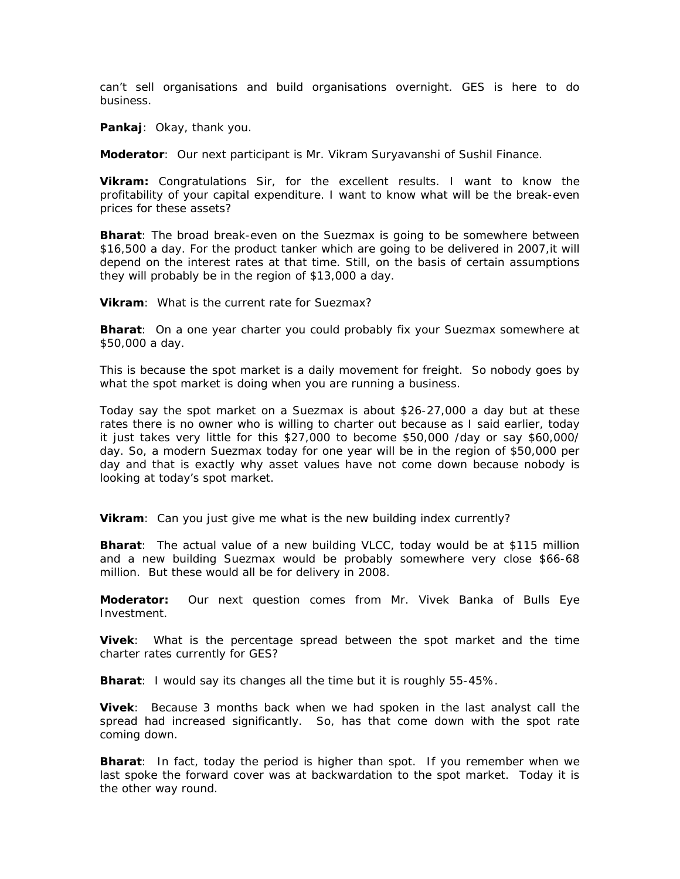can't sell organisations and build organisations overnight. GES is here to do business.

**Pankaj**: Okay, thank you.

**Moderator**: Our next participant is Mr. Vikram Suryavanshi of Sushil Finance.

**Vikram:** Congratulations Sir, for the excellent results. I want to know the profitability of your capital expenditure. I want to know what will be the break-even prices for these assets?

**Bharat**: The broad break-even on the Suezmax is going to be somewhere between \$16,500 a day. For the product tanker which are going to be delivered in 2007,it will depend on the interest rates at that time. Still, on the basis of certain assumptions they will probably be in the region of \$13,000 a day.

**Vikram**: What is the current rate for Suezmax?

**Bharat**: On a one year charter you could probably fix your Suezmax somewhere at \$50,000 a day.

This is because the spot market is a daily movement for freight. So nobody goes by what the spot market is doing when you are running a business.

Today say the spot market on a Suezmax is about \$26-27,000 a day but at these rates there is no owner who is willing to charter out because as I said earlier, today it just takes very little for this \$27,000 to become \$50,000 /day or say \$60,000/ day. So, a modern Suezmax today for one year will be in the region of \$50,000 per day and that is exactly why asset values have not come down because nobody is looking at today's spot market.

**Vikram**: Can you just give me what is the new building index currently?

**Bharat**: The actual value of a new building VLCC, today would be at \$115 million and a new building Suezmax would be probably somewhere very close \$66-68 million. But these would all be for delivery in 2008.

**Moderator:** Our next question comes from Mr. Vivek Banka of Bulls Eye Investment.

**Vivek**: What is the percentage spread between the spot market and the time charter rates currently for GES?

**Bharat**: I would say its changes all the time but it is roughly 55-45%.

**Vivek**: Because 3 months back when we had spoken in the last analyst call the spread had increased significantly. So, has that come down with the spot rate coming down.

**Bharat**: In fact, today the period is higher than spot. If you remember when we last spoke the forward cover was at backwardation to the spot market. Today it is the other way round.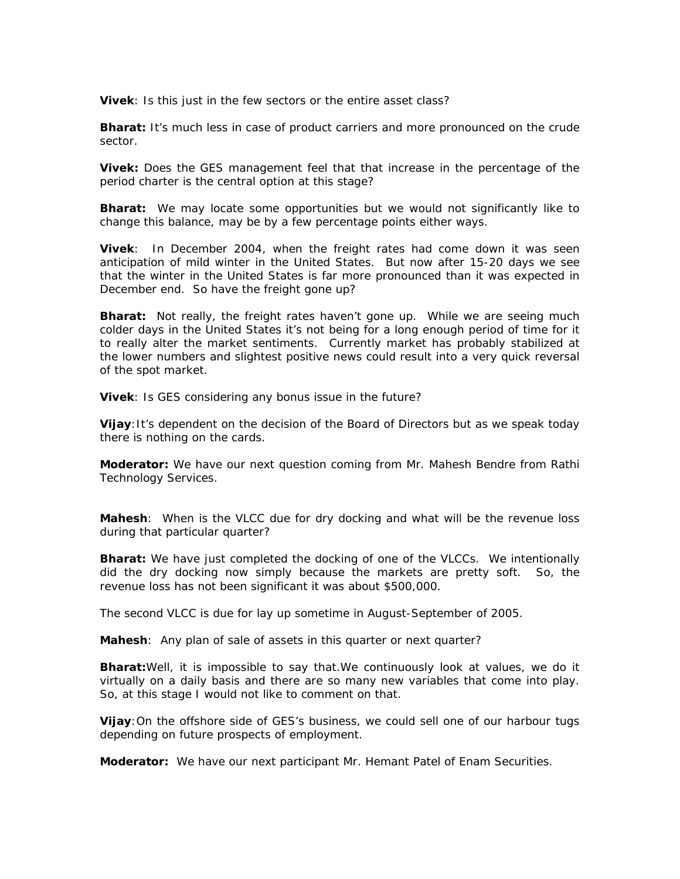**Vivek**: Is this just in the few sectors or the entire asset class?

**Bharat:** It's much less in case of product carriers and more pronounced on the crude sector.

**Vivek:** Does the GES management feel that that increase in the percentage of the period charter is the central option at this stage?

**Bharat:** We may locate some opportunities but we would not significantly like to change this balance, may be by a few percentage points either ways.

**Vivek**: In December 2004, when the freight rates had come down it was seen anticipation of mild winter in the United States. But now after 15-20 days we see that the winter in the United States is far more pronounced than it was expected in December end. So have the freight gone up?

**Bharat:** Not really, the freight rates haven't gone up. While we are seeing much colder days in the United States it's not being for a long enough period of time for it to really alter the market sentiments. Currently market has probably stabilized at the lower numbers and slightest positive news could result into a very quick reversal of the spot market.

**Vivek**: Is GES considering any bonus issue in the future?

**Vijay:** It's dependent on the decision of the Board of Directors but as we speak today there is nothing on the cards.

**Moderator:** We have our next question coming from Mr. Mahesh Bendre from Rathi Technology Services.

**Mahesh**: When is the VLCC due for dry docking and what will be the revenue loss during that particular quarter?

**Bharat:** We have just completed the docking of one of the VLCCs. We intentionally did the dry docking now simply because the markets are pretty soft. So, the revenue loss has not been significant it was about \$500,000.

The second VLCC is due for lay up sometime in August-September of 2005.

Mahesh: Any plan of sale of assets in this quarter or next quarter?

**Bharat:**Well, it is impossible to say that.We continuously look at values, we do it virtually on a daily basis and there are so many new variables that come into play. So, at this stage I would not like to comment on that.

**Vijay**:On the offshore side of GES's business, we could sell one of our harbour tugs depending on future prospects of employment.

**Moderator:** We have our next participant Mr. Hemant Patel of Enam Securities.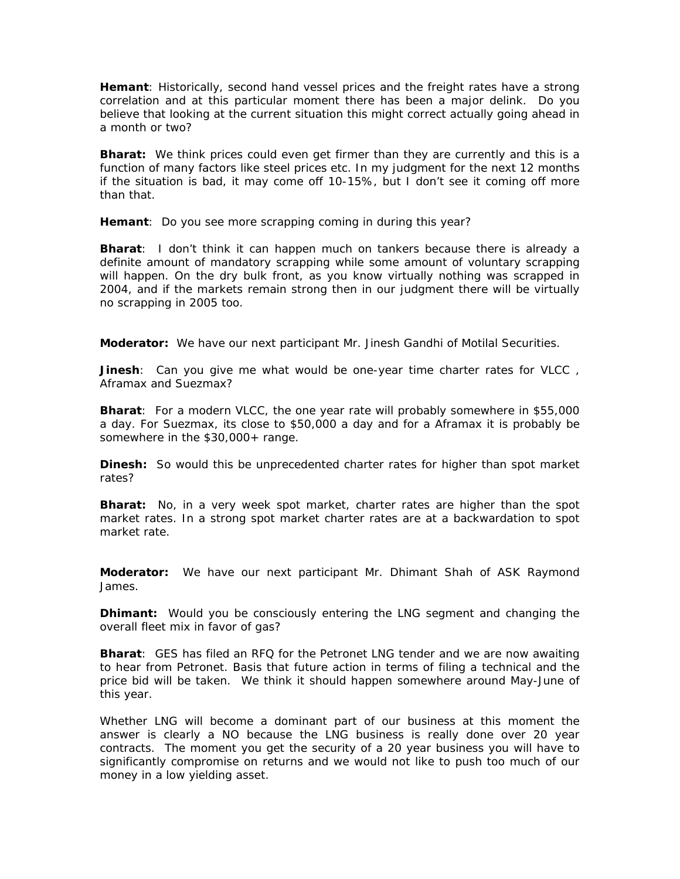**Hemant**: Historically, second hand vessel prices and the freight rates have a strong correlation and at this particular moment there has been a major delink. Do you believe that looking at the current situation this might correct actually going ahead in a month or two?

**Bharat:** We think prices could even get firmer than they are currently and this is a function of many factors like steel prices etc. In my judgment for the next 12 months if the situation is bad, it may come off 10-15%, but I don't see it coming off more than that.

**Hemant**: Do you see more scrapping coming in during this year?

**Bharat**: I don't think it can happen much on tankers because there is already a definite amount of mandatory scrapping while some amount of voluntary scrapping will happen. On the dry bulk front, as you know virtually nothing was scrapped in 2004, and if the markets remain strong then in our judgment there will be virtually no scrapping in 2005 too.

**Moderator:** We have our next participant Mr. Jinesh Gandhi of Motilal Securities.

**Jinesh**: Can you give me what would be one-year time charter rates for VLCC , Aframax and Suezmax?

**Bharat**: For a modern VLCC, the one year rate will probably somewhere in \$55,000 a day. For Suezmax, its close to \$50,000 a day and for a Aframax it is probably be somewhere in the \$30,000+ range.

**Dinesh:** So would this be unprecedented charter rates for higher than spot market rates?

**Bharat:** No, in a very week spot market, charter rates are higher than the spot market rates. In a strong spot market charter rates are at a backwardation to spot market rate.

**Moderator:** We have our next participant Mr. Dhimant Shah of ASK Raymond James.

**Dhimant:** Would you be consciously entering the LNG segment and changing the overall fleet mix in favor of gas?

**Bharat**: GES has filed an RFQ for the Petronet LNG tender and we are now awaiting to hear from Petronet. Basis that future action in terms of filing a technical and the price bid will be taken. We think it should happen somewhere around May-June of this year.

Whether LNG will become a dominant part of our business at this moment the answer is clearly a NO because the LNG business is really done over 20 year contracts. The moment you get the security of a 20 year business you will have to significantly compromise on returns and we would not like to push too much of our money in a low yielding asset.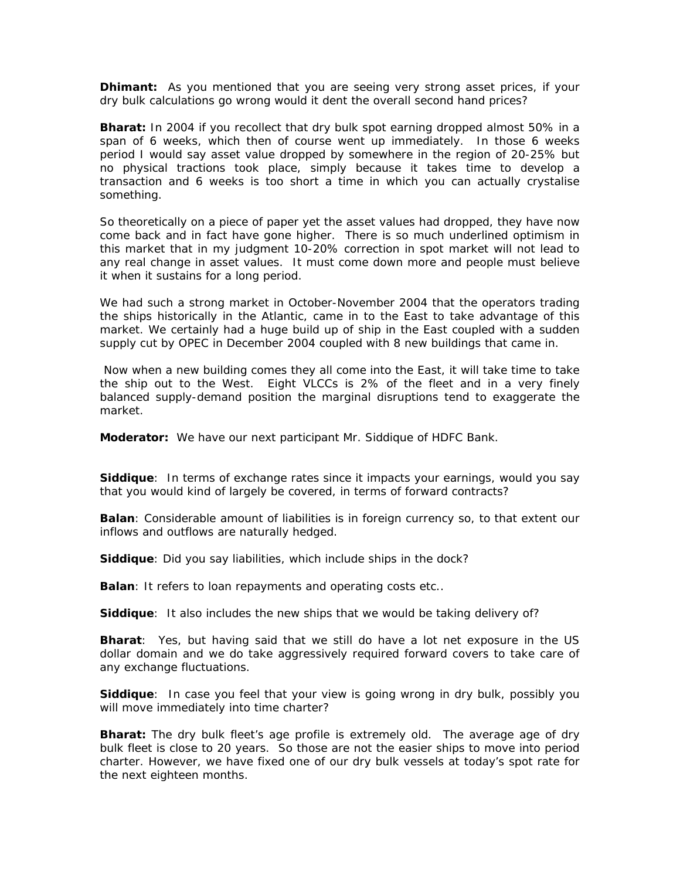**Dhimant:** As you mentioned that you are seeing very strong asset prices, if your dry bulk calculations go wrong would it dent the overall second hand prices?

**Bharat:** In 2004 if you recollect that dry bulk spot earning dropped almost 50% in a span of 6 weeks, which then of course went up immediately. In those 6 weeks period I would say asset value dropped by somewhere in the region of 20-25% but no physical tractions took place, simply because it takes time to develop a transaction and 6 weeks is too short a time in which you can actually crystalise something.

So theoretically on a piece of paper yet the asset values had dropped, they have now come back and in fact have gone higher. There is so much underlined optimism in this market that in my judgment 10-20% correction in spot market will not lead to any real change in asset values. It must come down more and people must believe it when it sustains for a long period.

We had such a strong market in October-November 2004 that the operators trading the ships historically in the Atlantic, came in to the East to take advantage of this market. We certainly had a huge build up of ship in the East coupled with a sudden supply cut by OPEC in December 2004 coupled with 8 new buildings that came in.

 Now when a new building comes they all come into the East, it will take time to take the ship out to the West. Eight VLCCs is 2% of the fleet and in a very finely balanced supply-demand position the marginal disruptions tend to exaggerate the market.

**Moderator:** We have our next participant Mr. Siddique of HDFC Bank.

**Siddique**: In terms of exchange rates since it impacts your earnings, would you say that you would kind of largely be covered, in terms of forward contracts?

**Balan**: Considerable amount of liabilities is in foreign currency so, to that extent our inflows and outflows are naturally hedged.

**Siddique**: Did you say liabilities, which include ships in the dock?

**Balan**: It refers to loan repayments and operating costs etc..

**Siddique**: It also includes the new ships that we would be taking delivery of?

**Bharat**: Yes, but having said that we still do have a lot net exposure in the US dollar domain and we do take aggressively required forward covers to take care of any exchange fluctuations.

**Siddique**: In case you feel that your view is going wrong in dry bulk, possibly you will move immediately into time charter?

**Bharat:** The dry bulk fleet's age profile is extremely old. The average age of dry bulk fleet is close to 20 years. So those are not the easier ships to move into period charter. However, we have fixed one of our dry bulk vessels at today's spot rate for the next eighteen months.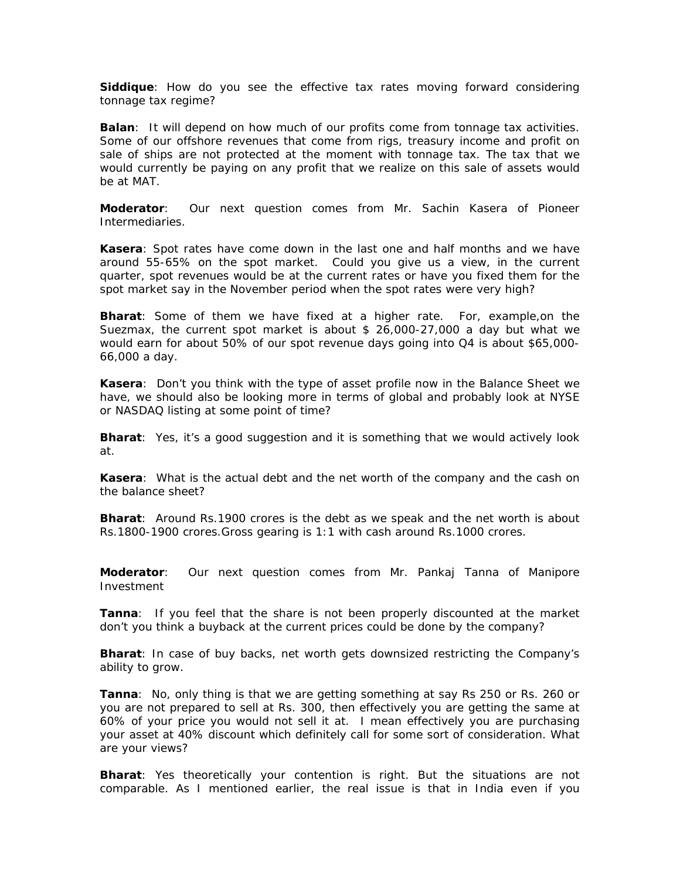**Siddique**: How do you see the effective tax rates moving forward considering tonnage tax regime?

**Balan**: It will depend on how much of our profits come from tonnage tax activities. Some of our offshore revenues that come from rigs, treasury income and profit on sale of ships are not protected at the moment with tonnage tax. The tax that we would currently be paying on any profit that we realize on this sale of assets would be at MAT.

**Moderator**: Our next question comes from Mr. Sachin Kasera of Pioneer Intermediaries.

**Kasera**: Spot rates have come down in the last one and half months and we have around 55-65% on the spot market. Could you give us a view, in the current quarter, spot revenues would be at the current rates or have you fixed them for the spot market say in the November period when the spot rates were very high?

**Bharat**: Some of them we have fixed at a higher rate. For, example,on the Suezmax, the current spot market is about \$ 26,000-27,000 a day but what we would earn for about 50% of our spot revenue days going into Q4 is about \$65,000- 66,000 a day.

**Kasera**: Don't you think with the type of asset profile now in the Balance Sheet we have, we should also be looking more in terms of global and probably look at NYSE or NASDAQ listing at some point of time?

**Bharat**: Yes, it's a good suggestion and it is something that we would actively look at.

**Kasera**: What is the actual debt and the net worth of the company and the cash on the balance sheet?

**Bharat**: Around Rs.1900 crores is the debt as we speak and the net worth is about Rs.1800-1900 crores.Gross gearing is 1:1 with cash around Rs.1000 crores.

**Moderator**: Our next question comes from Mr. Pankaj Tanna of Manipore Investment

**Tanna**: If you feel that the share is not been properly discounted at the market don't you think a buyback at the current prices could be done by the company?

**Bharat**: In case of buy backs, net worth gets downsized restricting the Company's ability to grow.

**Tanna**: No, only thing is that we are getting something at say Rs 250 or Rs. 260 or you are not prepared to sell at Rs. 300, then effectively you are getting the same at 60% of your price you would not sell it at. I mean effectively you are purchasing your asset at 40% discount which definitely call for some sort of consideration. What are your views?

**Bharat**: Yes theoretically your contention is right. But the situations are not comparable. As I mentioned earlier, the real issue is that in India even if you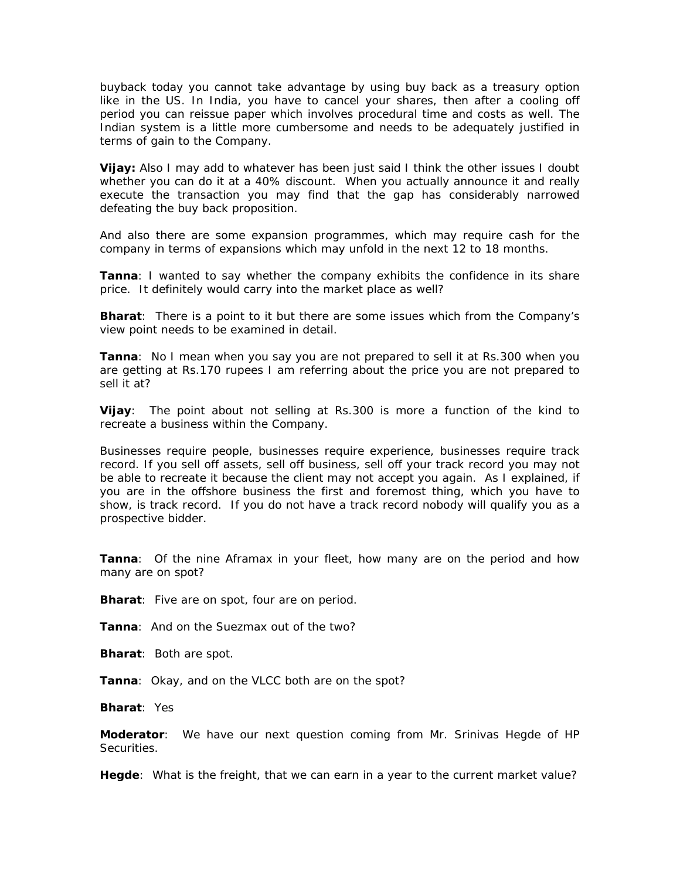buyback today you cannot take advantage by using buy back as a treasury option like in the US. In India, you have to cancel your shares, then after a cooling off period you can reissue paper which involves procedural time and costs as well. The Indian system is a little more cumbersome and needs to be adequately justified in terms of gain to the Company.

**Vijay:** Also I may add to whatever has been just said I think the other issues I doubt whether you can do it at a 40% discount. When you actually announce it and really execute the transaction you may find that the gap has considerably narrowed defeating the buy back proposition.

And also there are some expansion programmes, which may require cash for the company in terms of expansions which may unfold in the next 12 to 18 months.

**Tanna**: I wanted to say whether the company exhibits the confidence in its share price. It definitely would carry into the market place as well?

**Bharat**: There is a point to it but there are some issues which from the Company's view point needs to be examined in detail.

**Tanna**: No I mean when you say you are not prepared to sell it at Rs.300 when you are getting at Rs.170 rupees I am referring about the price you are not prepared to sell it at?

**Vijay**: The point about not selling at Rs.300 is more a function of the kind to recreate a business within the Company.

Businesses require people, businesses require experience, businesses require track record. If you sell off assets, sell off business, sell off your track record you may not be able to recreate it because the client may not accept you again. As I explained, if you are in the offshore business the first and foremost thing, which you have to show, is track record. If you do not have a track record nobody will qualify you as a prospective bidder.

**Tanna**: Of the nine Aframax in your fleet, how many are on the period and how many are on spot?

**Bharat**: Five are on spot, four are on period.

**Tanna**: And on the Suezmax out of the two?

**Bharat**: Both are spot.

**Tanna**: Okay, and on the VLCC both are on the spot?

**Bharat**: Yes

**Moderator**: We have our next question coming from Mr. Srinivas Hegde of HP Securities.

**Hegde**: What is the freight, that we can earn in a year to the current market value?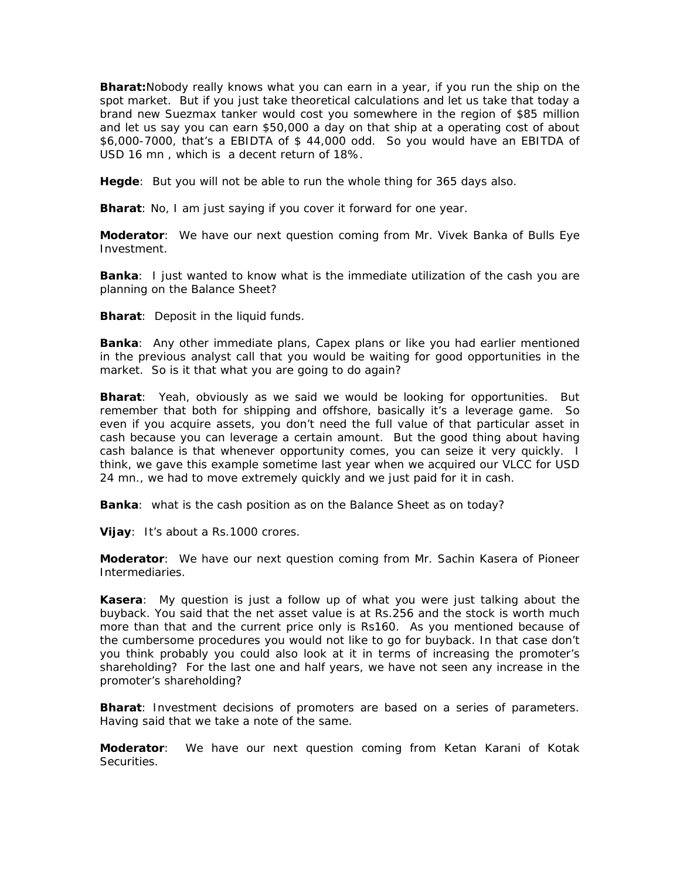**Bharat:**Nobody really knows what you can earn in a year, if you run the ship on the spot market. But if you just take theoretical calculations and let us take that today a brand new Suezmax tanker would cost you somewhere in the region of \$85 million and let us say you can earn \$50,000 a day on that ship at a operating cost of about \$6,000-7000, that's a EBIDTA of \$ 44,000 odd. So you would have an EBITDA of USD 16 mn , which is a decent return of 18%.

**Hegde**: But you will not be able to run the whole thing for 365 days also.

**Bharat**: No, I am just saying if you cover it forward for one year.

**Moderator**: We have our next question coming from Mr. Vivek Banka of Bulls Eye Investment.

**Banka**: I just wanted to know what is the immediate utilization of the cash you are planning on the Balance Sheet?

**Bharat**: Deposit in the liquid funds.

**Banka**: Any other immediate plans, Capex plans or like you had earlier mentioned in the previous analyst call that you would be waiting for good opportunities in the market. So is it that what you are going to do again?

**Bharat**: Yeah, obviously as we said we would be looking for opportunities. But remember that both for shipping and offshore, basically it's a leverage game. So even if you acquire assets, you don't need the full value of that particular asset in cash because you can leverage a certain amount. But the good thing about having cash balance is that whenever opportunity comes, you can seize it very quickly. I think, we gave this example sometime last year when we acquired our VLCC for USD 24 mn., we had to move extremely quickly and we just paid for it in cash.

**Banka**: what is the cash position as on the Balance Sheet as on today?

**Vijay**: It's about a Rs.1000 crores.

**Moderator**: We have our next question coming from Mr. Sachin Kasera of Pioneer Intermediaries.

**Kasera**: My question is just a follow up of what you were just talking about the buyback. You said that the net asset value is at Rs.256 and the stock is worth much more than that and the current price only is Rs160. As you mentioned because of the cumbersome procedures you would not like to go for buyback. In that case don't you think probably you could also look at it in terms of increasing the promoter's shareholding? For the last one and half years, we have not seen any increase in the promoter's shareholding?

**Bharat**: Investment decisions of promoters are based on a series of parameters. Having said that we take a note of the same.

**Moderator**: We have our next question coming from Ketan Karani of Kotak Securities.